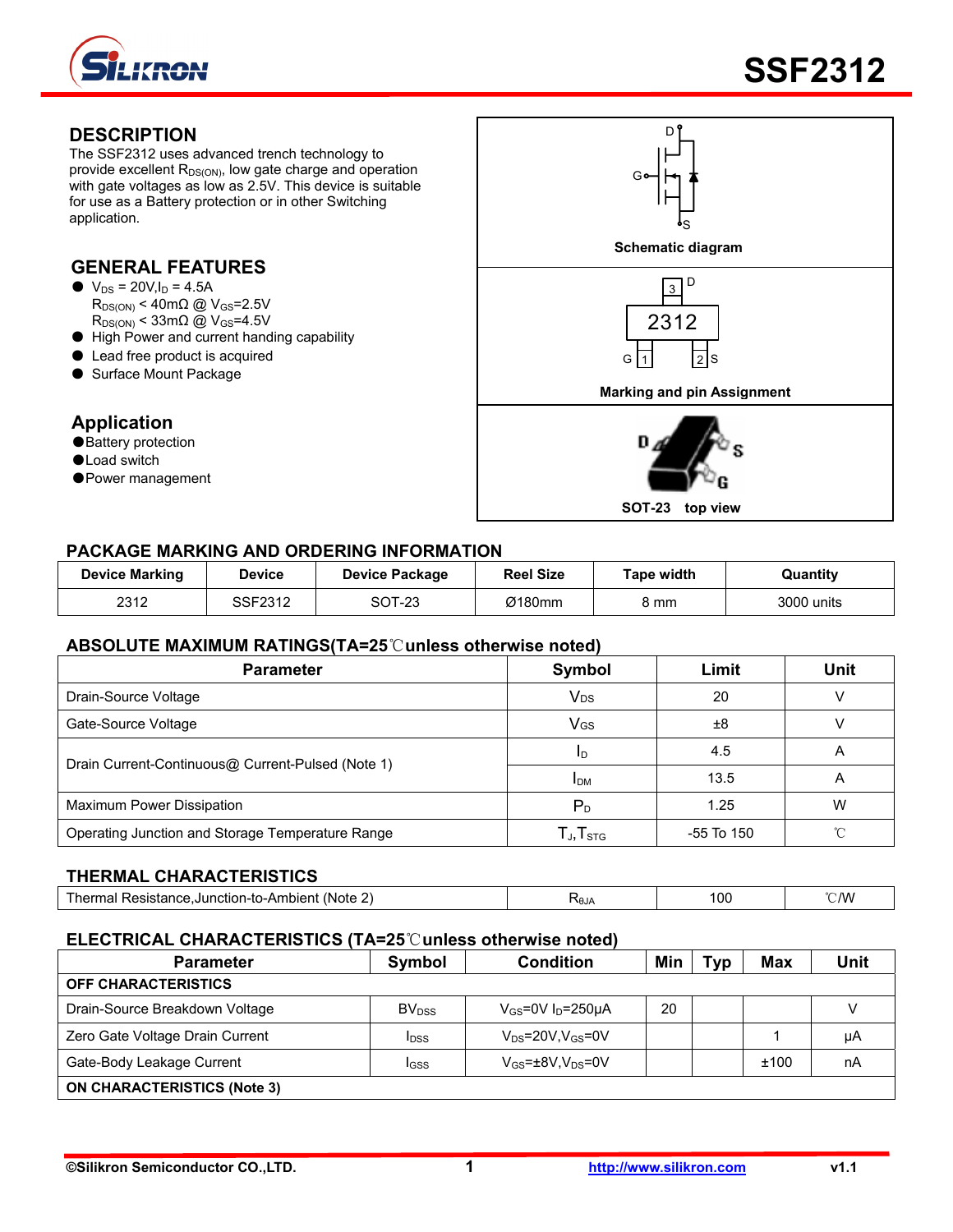

The SSF2312 uses advanced trench technology to provide excellent  $R_{DS(ON)}$ , low gate charge and operation with gate voltages as low as 2.5V. This device is suitable for use as a Battery protection or in other Switching application.

# **GENERAL FEATURES**

- $\bullet$  V<sub>DS</sub> = 20V, I<sub>D</sub> = 4.5A  $R_{DS(ON)}$  < 40m $\Omega$  @ V<sub>GS</sub>=2.5V  $R_{DS(ON)}$  < 33m $\Omega$  @ V<sub>GS</sub>=4.5V
- High Power and current handing capability
- Lead free product is acquired
- Surface Mount Package

### **Application**

- ●Battery protection
- ●Load switch
- Power management



#### **PACKAGE MARKING AND ORDERING INFORMATION**

| <b>Device Marking</b> | <b>Device</b> | Device Package | <b>Reel Size</b> | Tape width | Quantity   |
|-----------------------|---------------|----------------|------------------|------------|------------|
| 2312                  | SSF2312       | <b>SOT-23</b>  | Ø180mm           | კ mm       | 3000 units |

#### **ABSOLUTE MAXIMUM RATINGS(TA=25**℃**unless otherwise noted)**

| <b>Parameter</b>                                  | Symbol                                               | Limit      | Unit |
|---------------------------------------------------|------------------------------------------------------|------------|------|
| Drain-Source Voltage                              | <b>V<sub>DS</sub></b>                                | 20         |      |
| Gate-Source Voltage                               | VGS                                                  | ±8         |      |
| Drain Current-Continuous@ Current-Pulsed (Note 1) | ID.                                                  | 4.5        | Α    |
|                                                   | <b>IDM</b>                                           | 13.5       | A    |
| Maximum Power Dissipation                         | $P_{D}$                                              | 1.25       | W    |
| Operating Junction and Storage Temperature Range  | $\mathsf{T}_{\mathsf{J}}, \mathsf{T}_{\mathsf{STG}}$ | -55 To 150 | ∽    |

#### **THERMAL CHARACTERISTICS**

| -<br>(Note .<br>Resistance.Junction-to-Ambient (<br>l herma<br>на | <b>RAJA</b> | 10C | °C/W |
|-------------------------------------------------------------------|-------------|-----|------|
|-------------------------------------------------------------------|-------------|-----|------|

#### **ELECTRICAL CHARACTERISTICS (TA=25**℃**unless otherwise noted)**

| <b>Parameter</b>                   | Symbol                   | <b>Condition</b>                        | Min | Typ | Max  | Unit |
|------------------------------------|--------------------------|-----------------------------------------|-----|-----|------|------|
| <b>OFF CHARACTERISTICS</b>         |                          |                                         |     |     |      |      |
| Drain-Source Breakdown Voltage     | <b>BV</b> <sub>DSS</sub> | $V_{GS}$ =0V I <sub>D</sub> =250µA      | 20  |     |      |      |
| Zero Gate Voltage Drain Current    | <b>I</b> <sub>DSS</sub>  | $V_{DS}$ =20V,V $_{GS}$ =0V             |     |     |      | μA   |
| Gate-Body Leakage Current          | IGSS                     | $V_{GS}$ = $\pm$ 8V,V <sub>DS</sub> =0V |     |     | ±100 | nA   |
| <b>ON CHARACTERISTICS (Note 3)</b> |                          |                                         |     |     |      |      |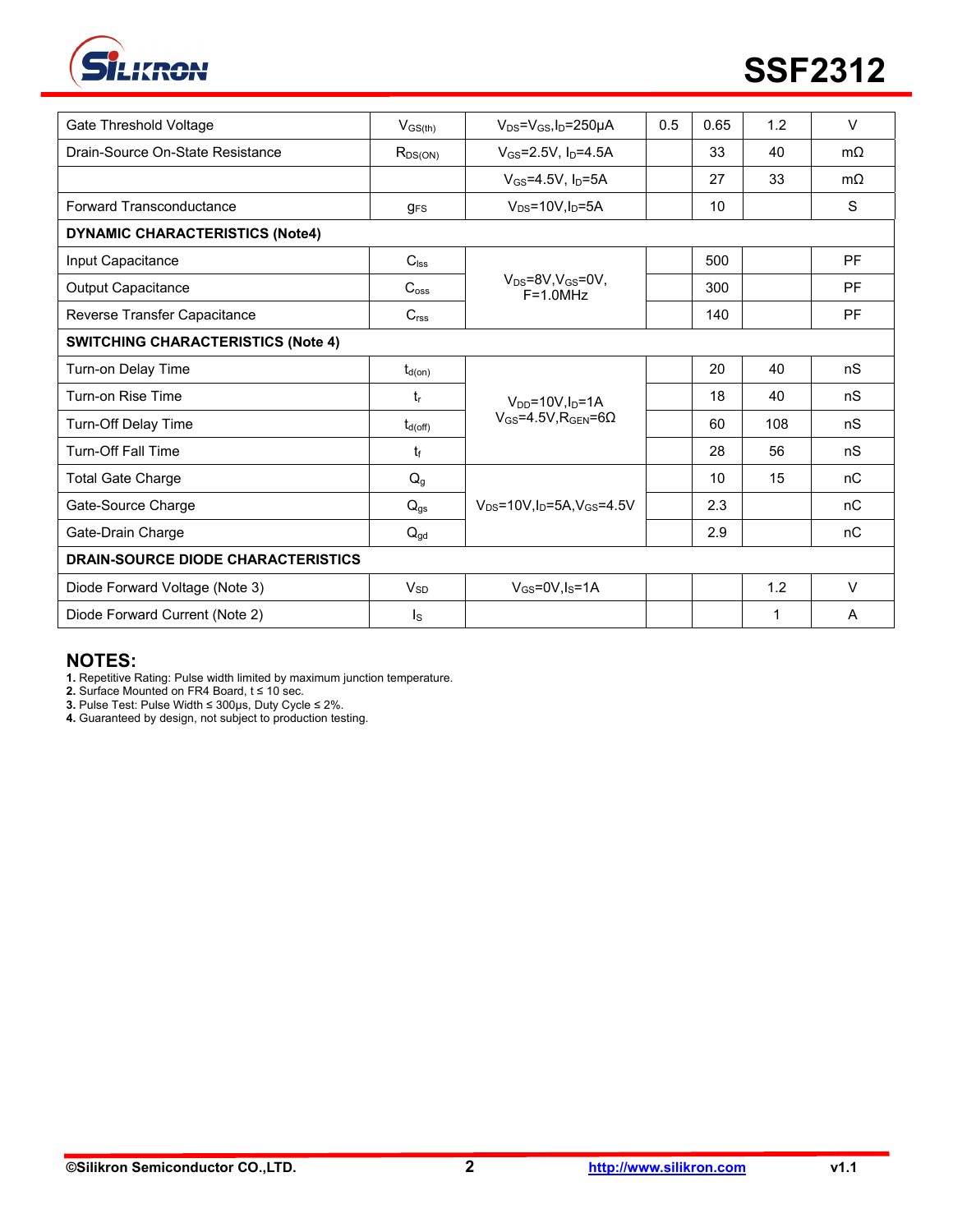

| Gate Threshold Voltage                    | $V_{GS(th)}$                                   | $V_{DS} = V_{GS}I_D = 250 \mu A$                         | 0.5 | 0.65 | 1.2 | $\vee$    |
|-------------------------------------------|------------------------------------------------|----------------------------------------------------------|-----|------|-----|-----------|
| Drain-Source On-State Resistance          | $V_{GS} = 2.5V$ , $I_D = 4.5A$<br>$R_{DS(ON)}$ |                                                          |     | 33   | 40  | $m\Omega$ |
|                                           |                                                | $V_{GS}$ =4.5V, $I_D$ =5A                                |     | 27   | 33  | $m\Omega$ |
| Forward Transconductance                  | $g_{FS}$                                       | $V_{DS} = 10V$ , $I_D = 5A$                              |     | 10   |     | S         |
| <b>DYNAMIC CHARACTERISTICS (Note4)</b>    |                                                |                                                          |     |      |     |           |
| Input Capacitance                         | $C_{\text{lss}}$                               |                                                          |     | 500  |     | <b>PF</b> |
| Output Capacitance                        | C <sub>oss</sub>                               | $V_{DS}$ =8V,V $_{GS}$ =0V,<br>$F = 1.0 MHz$             |     | 300  |     | <b>PF</b> |
| Reverse Transfer Capacitance              | C <sub>rss</sub>                               |                                                          |     | 140  |     | <b>PF</b> |
| <b>SWITCHING CHARACTERISTICS (Note 4)</b> |                                                |                                                          |     |      |     |           |
| Turn-on Delay Time                        | $t_{d(on)}$                                    |                                                          |     | 20   | 40  | nS        |
| Turn-on Rise Time                         | t,                                             | $V_{DD} = 10V \cdot \ln = 1A$                            |     | 18   | 40  | nS        |
| <b>Turn-Off Delay Time</b>                | $t_{d(off)}$                                   | $V_{GS} = 4.5V$ , R <sub>GEN</sub> =6 $\Omega$           |     | 60   | 108 | nS        |
| <b>Turn-Off Fall Time</b>                 | tr                                             |                                                          |     | 28   | 56  | nS        |
| <b>Total Gate Charge</b>                  | $Q_g$                                          |                                                          |     | 10   | 15  | nC        |
| Gate-Source Charge                        | $Q_{gs}$                                       | $V_{DS}$ =10V, I <sub>D</sub> =5A, V <sub>GS</sub> =4.5V |     | 2.3  |     | nC        |
| Gate-Drain Charge                         | $Q_{gd}$                                       |                                                          |     | 2.9  |     | nC        |
| <b>DRAIN-SOURCE DIODE CHARACTERISTICS</b> |                                                |                                                          |     |      |     |           |
| Diode Forward Voltage (Note 3)            | $V_{SD}$                                       | $V_{GS} = 0V, I_S = 1A$                                  |     |      | 1.2 | $\vee$    |
| Diode Forward Current (Note 2)            | Is                                             |                                                          |     |      | 1   | A         |

### **NOTES:**

**1.** Repetitive Rating: Pulse width limited by maximum junction temperature.

**2.** Surface Mounted on FR4 Board, t ≤ 10 sec.

**3.** Pulse Test: Pulse Width ≤ 300μs, Duty Cycle ≤ 2%.

**4.** Guaranteed by design, not subject to production testing.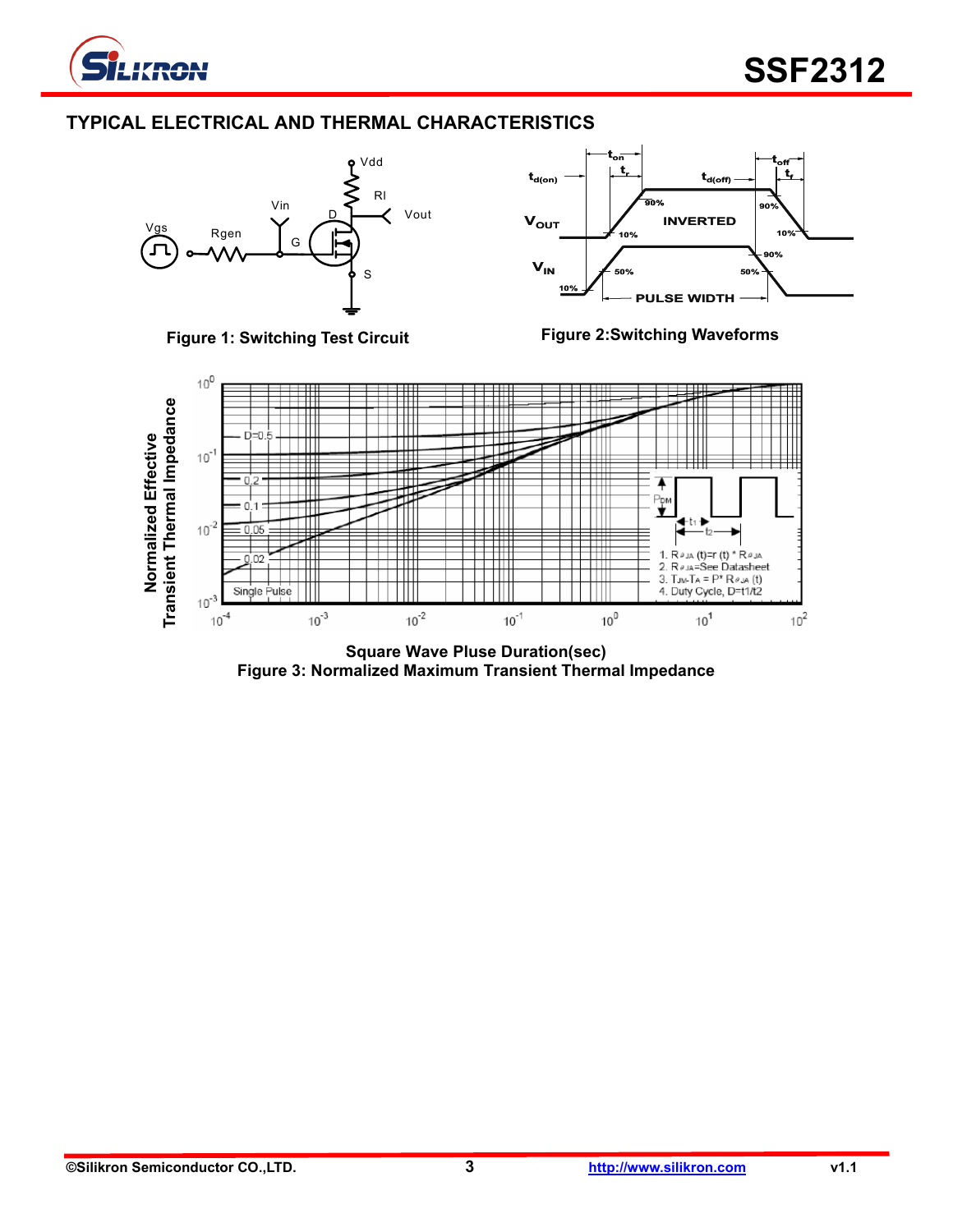

# **TYPICAL ELECTRICAL AND THERMAL CHARACTERISTICS**









**Square Wave Pluse Duration(sec) Figure 3: Normalized Maximum Transient Thermal Impedance**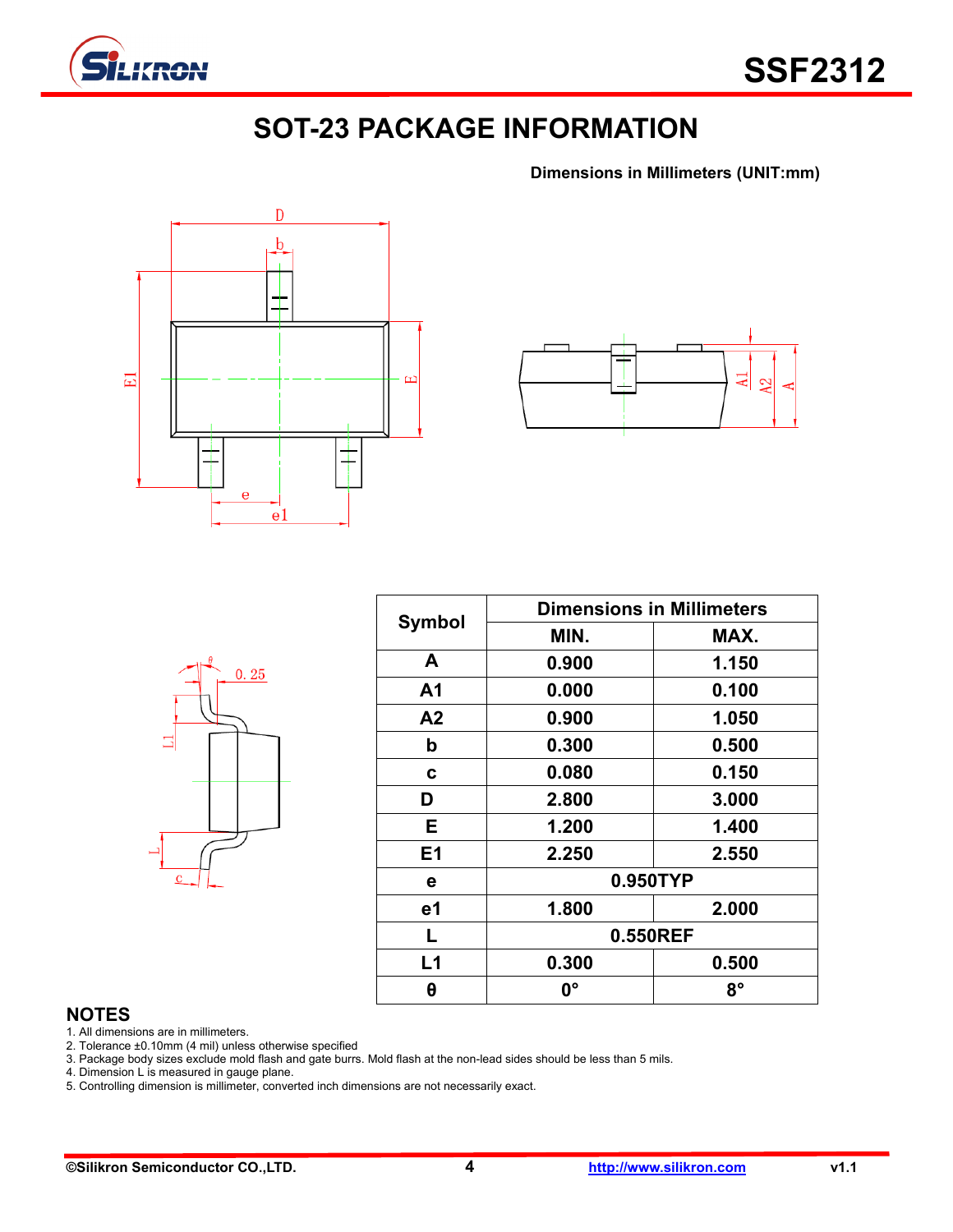

# **SOT-23 PACKAGE INFORMATION**

**Dimensions in Millimeters (UNIT:mm)**





|                | $\theta$ | 0.25 |  |
|----------------|----------|------|--|
| ⊒              |          |      |  |
|                |          |      |  |
| $\overline{c}$ |          |      |  |

| <b>Symbol</b> | <b>Dimensions in Millimeters</b> |             |  |  |  |
|---------------|----------------------------------|-------------|--|--|--|
|               | MIN.                             | MAX.        |  |  |  |
| A             | 0.900                            | 1.150       |  |  |  |
| A1            | 0.000                            | 0.100       |  |  |  |
| A2            | 0.900                            | 1.050       |  |  |  |
| b             | 0.300                            | 0.500       |  |  |  |
| C             | 0.080                            | 0.150       |  |  |  |
| D             | 2.800                            | 3.000       |  |  |  |
| E.            | 1.200                            | 1.400       |  |  |  |
| E1            | 2.250                            | 2.550       |  |  |  |
| е             | 0.950TYP                         |             |  |  |  |
| e1            | 1.800                            | 2.000       |  |  |  |
| L             | 0.550REF                         |             |  |  |  |
| L1            | 0.300                            | 0.500       |  |  |  |
| θ             | 0°                               | $8^{\circ}$ |  |  |  |

#### **NOTES**

1. All dimensions are in millimeters.

2. Tolerance ±0.10mm (4 mil) unless otherwise specified

3. Package body sizes exclude mold flash and gate burrs. Mold flash at the non-lead sides should be less than 5 mils.

4. Dimension L is measured in gauge plane.

5. Controlling dimension is millimeter, converted inch dimensions are not necessarily exact.